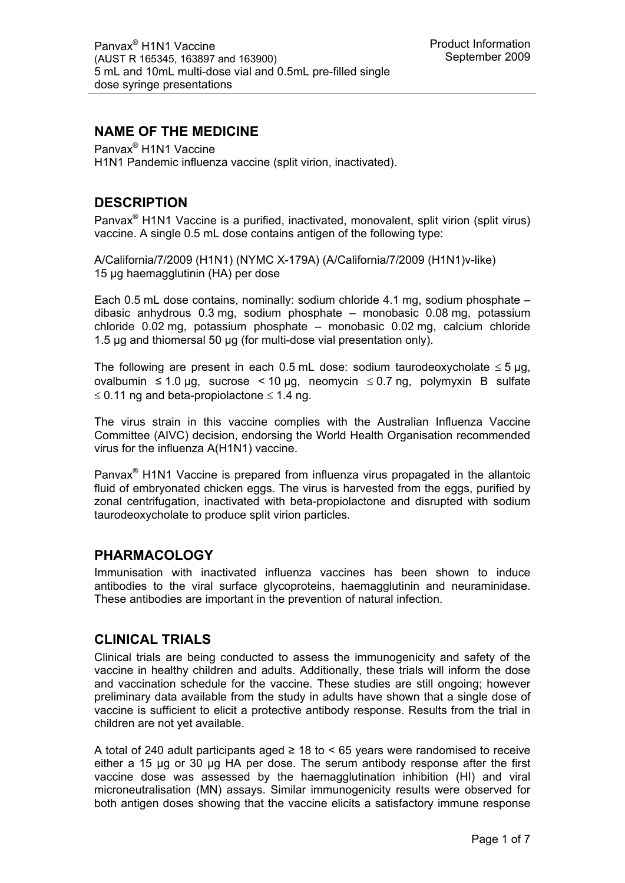## **NAME OF THE MEDICINE**

Panvax® H1N1 Vaccine H1N1 Pandemic influenza vaccine (split virion, inactivated).

## **DESCRIPTION**

Panvax® H1N1 Vaccine is a purified, inactivated, monovalent, split virion (split virus) vaccine. A single 0.5 mL dose contains antigen of the following type:

A/California/7/2009 (H1N1) (NYMC X-179A) (A/California/7/2009 (H1N1)v-like) 15 µg haemagglutinin (HA) per dose

Each 0.5 mL dose contains, nominally: sodium chloride 4.1 mg, sodium phosphate – dibasic anhydrous 0.3 mg, sodium phosphate – monobasic 0.08 mg, potassium chloride 0.02 mg, potassium phosphate – monobasic 0.02 mg, calcium chloride 1.5 μg and thiomersal 50 μg (for multi-dose vial presentation only).

The following are present in each 0.5 mL dose: sodium taurodeoxycholate  $\leq$  5 µg, ovalbumin  $\leq 1.0$  μg, sucrose < 10 μg, neomycin  $\leq 0.7$  ng, polymyxin B sulfate  $\leq$  0.11 ng and beta-propiolactone  $\leq$  1.4 ng.

The virus strain in this vaccine complies with the Australian Influenza Vaccine Committee (AIVC) decision, endorsing the World Health Organisation recommended virus for the influenza A(H1N1) vaccine.

Panvax® H1N1 Vaccine is prepared from influenza virus propagated in the allantoic fluid of embryonated chicken eggs. The virus is harvested from the eggs, purified by zonal centrifugation, inactivated with beta-propiolactone and disrupted with sodium taurodeoxycholate to produce split virion particles.

## **PHARMACOLOGY**

Immunisation with inactivated influenza vaccines has been shown to induce antibodies to the viral surface glycoproteins, haemagglutinin and neuraminidase. These antibodies are important in the prevention of natural infection.

## **CLINICAL TRIALS**

Clinical trials are being conducted to assess the immunogenicity and safety of the vaccine in healthy children and adults. Additionally, these trials will inform the dose and vaccination schedule for the vaccine. These studies are still ongoing; however preliminary data available from the study in adults have shown that a single dose of vaccine is sufficient to elicit a protective antibody response. Results from the trial in children are not yet available.

A total of 240 adult participants aged  $\geq$  18 to  $\leq$  65 years were randomised to receive either a 15 μg or 30 μg HA per dose. The serum antibody response after the first vaccine dose was assessed by the haemagglutination inhibition (HI) and viral microneutralisation (MN) assays. Similar immunogenicity results were observed for both antigen doses showing that the vaccine elicits a satisfactory immune response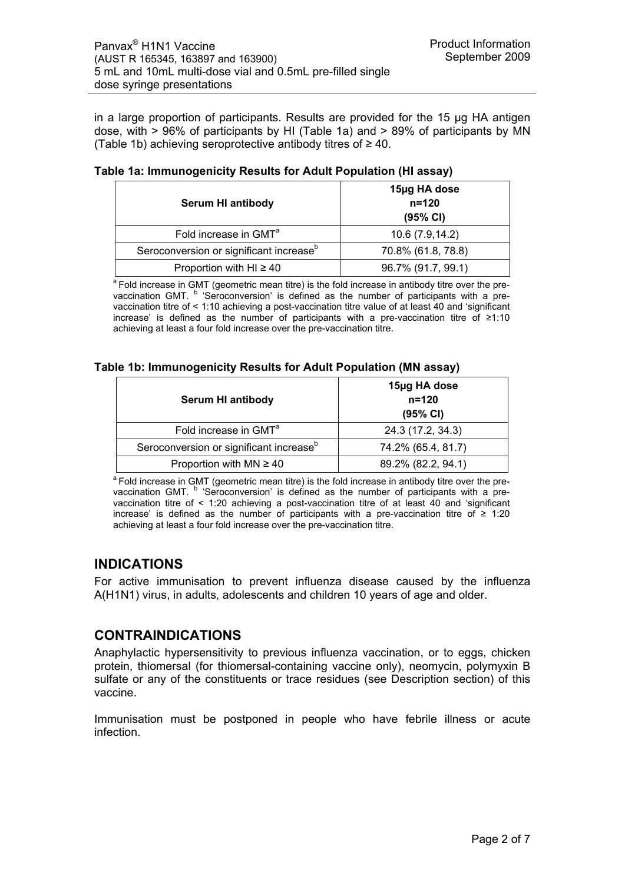in a large proportion of participants. Results are provided for the 15 μg HA antigen dose, with > 96% of participants by HI (Table 1a) and > 89% of participants by MN (Table 1b) achieving seroprotective antibody titres of  $\geq 40$ .

| <b>Serum HI antibody</b>                            | 15µg HA dose<br>$n = 120$<br>(95% CI) |
|-----------------------------------------------------|---------------------------------------|
| Fold increase in GMT <sup>a</sup>                   | 10.6 (7.9,14.2)                       |
| Seroconversion or significant increase <sup>b</sup> | 70.8% (61.8, 78.8)                    |
| Proportion with HI $\geq 40$                        | 96.7% (91.7, 99.1)                    |

| Table 1a: Immunogenicity Results for Adult Population (HI assay) |  |  |
|------------------------------------------------------------------|--|--|
|------------------------------------------------------------------|--|--|

<sup>a</sup> Fold increase in GMT (geometric mean titre) is the fold increase in antibody titre over the prevaccination GMT. <sup>b</sup> 'Seroconversion' is defined as the number of participants with a prevaccination titre of < 1:10 achieving a post-vaccination titre value of at least 40 and 'significant increase' is defined as the number of participants with a pre-vaccination titre of ≥1:10 achieving at least a four fold increase over the pre-vaccination titre.

## **Table 1b: Immunogenicity Results for Adult Population (MN assay)**

| <b>Serum HI antibody</b>                            | 15µg HA dose<br>$n = 120$<br>(95% CI) |
|-----------------------------------------------------|---------------------------------------|
| Fold increase in GMT <sup>a</sup>                   | 24.3 (17.2, 34.3)                     |
| Seroconversion or significant increase <sup>b</sup> | 74.2% (65.4, 81.7)                    |
| Proportion with $MN \ge 40$                         | 89.2% (82.2, 94.1)                    |

<sup>a</sup> Fold increase in GMT (geometric mean titre) is the fold increase in antibody titre over the prevaccination GMT. <sup>b</sup> 'Seroconversion' is defined as the number of participants with a prevaccination titre of < 1:20 achieving a post-vaccination titre of at least 40 and 'significant increase' is defined as the number of participants with a pre-vaccination titre of ≥ 1:20 achieving at least a four fold increase over the pre-vaccination titre.

## **INDICATIONS**

For active immunisation to prevent influenza disease caused by the influenza A(H1N1) virus, in adults, adolescents and children 10 years of age and older.

## **CONTRAINDICATIONS**

Anaphylactic hypersensitivity to previous influenza vaccination, or to eggs, chicken protein, thiomersal (for thiomersal-containing vaccine only), neomycin, polymyxin B sulfate or any of the constituents or trace residues (see Description section) of this vaccine.

Immunisation must be postponed in people who have febrile illness or acute infection.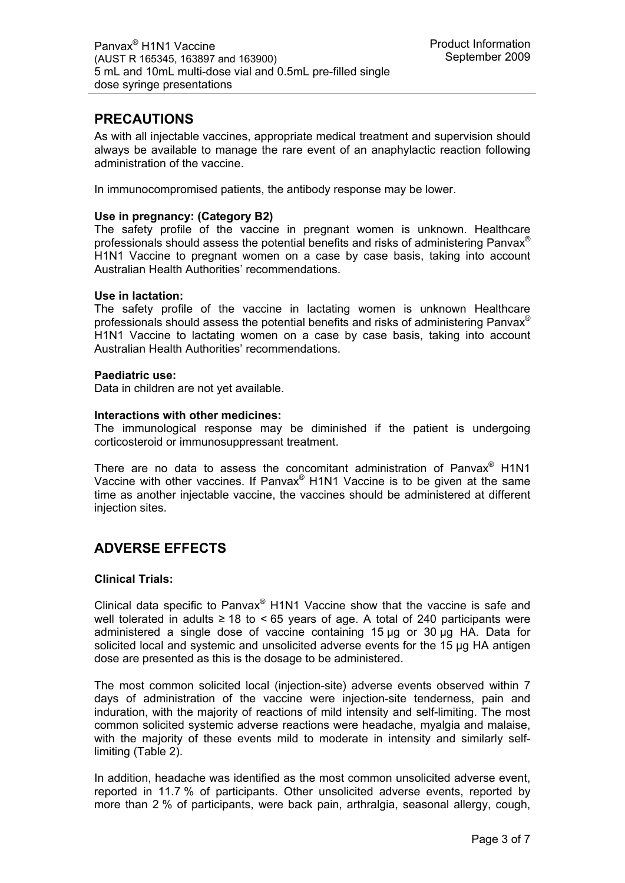## **PRECAUTIONS**

As with all injectable vaccines, appropriate medical treatment and supervision should always be available to manage the rare event of an anaphylactic reaction following administration of the vaccine.

In immunocompromised patients, the antibody response may be lower.

### **Use in pregnancy: (Category B2)**

The safety profile of the vaccine in pregnant women is unknown. Healthcare professionals should assess the potential benefits and risks of administering Panvax<sup>®</sup> H1N1 Vaccine to pregnant women on a case by case basis, taking into account Australian Health Authorities' recommendations.

### **Use in lactation:**

The safety profile of the vaccine in lactating women is unknown Healthcare professionals should assess the potential benefits and risks of administering Panvax<sup>®</sup> H1N1 Vaccine to lactating women on a case by case basis, taking into account Australian Health Authorities' recommendations.

### **Paediatric use:**

Data in children are not yet available.

### **Interactions with other medicines:**

The immunological response may be diminished if the patient is undergoing corticosteroid or immunosuppressant treatment.

There are no data to assess the concomitant administration of Panvax<sup>®</sup> H1N1 Vaccine with other vaccines. If Panvax® H1N1 Vaccine is to be given at the same time as another injectable vaccine, the vaccines should be administered at different injection sites.

# **ADVERSE EFFECTS**

### **Clinical Trials:**

Clinical data specific to Panvax® H1N1 Vaccine show that the vaccine is safe and well tolerated in adults  $\geq$  18 to < 65 years of age. A total of 240 participants were administered a single dose of vaccine containing 15 µg or 30 µg HA. Data for solicited local and systemic and unsolicited adverse events for the 15 µg HA antigen dose are presented as this is the dosage to be administered.

The most common solicited local (injection-site) adverse events observed within 7 days of administration of the vaccine were injection-site tenderness, pain and induration, with the majority of reactions of mild intensity and self-limiting. The most common solicited systemic adverse reactions were headache, myalgia and malaise, with the majority of these events mild to moderate in intensity and similarly selflimiting (Table 2).

In addition, headache was identified as the most common unsolicited adverse event, reported in 11.7 % of participants. Other unsolicited adverse events, reported by more than 2 % of participants, were back pain, arthralgia, seasonal allergy, cough,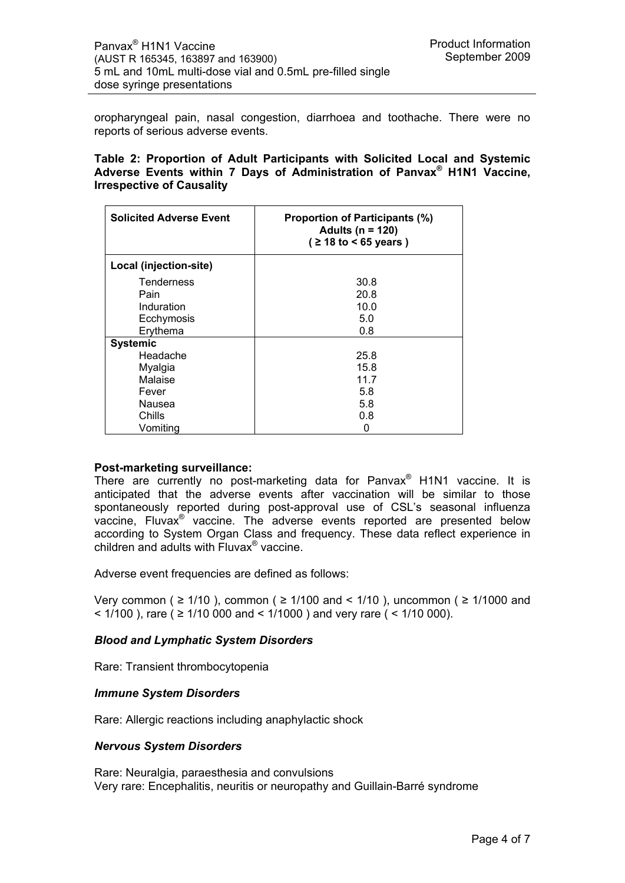oropharyngeal pain, nasal congestion, diarrhoea and toothache. There were no reports of serious adverse events.

### **Table 2: Proportion of Adult Participants with Solicited Local and Systemic Adverse Events within 7 Days of Administration of Panvax® H1N1 Vaccine, Irrespective of Causality**

| <b>Solicited Adverse Event</b> | <b>Proportion of Participants (%)</b><br>Adults ( $n = 120$ )<br>$($ ≥ 18 to < 65 years) |
|--------------------------------|------------------------------------------------------------------------------------------|
| Local (injection-site)         |                                                                                          |
| Tenderness                     | 30.8                                                                                     |
| Pain                           | 20.8                                                                                     |
| Induration                     | 10.0                                                                                     |
| Ecchymosis                     | 5.0                                                                                      |
| Erythema                       | 0.8                                                                                      |
| <b>Systemic</b>                |                                                                                          |
| Headache                       | 25.8                                                                                     |
| Myalgia                        | 15.8                                                                                     |
| Malaise                        | 11.7                                                                                     |
| Fever                          | 5.8                                                                                      |
| Nausea                         | 5.8                                                                                      |
| Chills                         | 0.8                                                                                      |
| Vomiting                       | 0                                                                                        |

### **Post-marketing surveillance:**

There are currently no post-marketing data for Panvax® H1N1 vaccine. It is anticipated that the adverse events after vaccination will be similar to those spontaneously reported during post-approval use of CSL's seasonal influenza vaccine, Fluvax® vaccine. The adverse events reported are presented below according to System Organ Class and frequency. These data reflect experience in children and adults with Fluvax® vaccine.

Adverse event frequencies are defined as follows:

Very common ( $\geq$  1/10), common ( $\geq$  1/100 and < 1/10), uncommon ( $\geq$  1/1000 and <  $1/100$ ), rare ( ≥ 1/10 000 and <  $1/1000$ ) and very rare ( < 1/10 000).

## *Blood and Lymphatic System Disorders*

Rare: Transient thrombocytopenia

### *Immune System Disorders*

Rare: Allergic reactions including anaphylactic shock

## *Nervous System Disorders*

Rare: Neuralgia, paraesthesia and convulsions Very rare: Encephalitis, neuritis or neuropathy and Guillain-Barré syndrome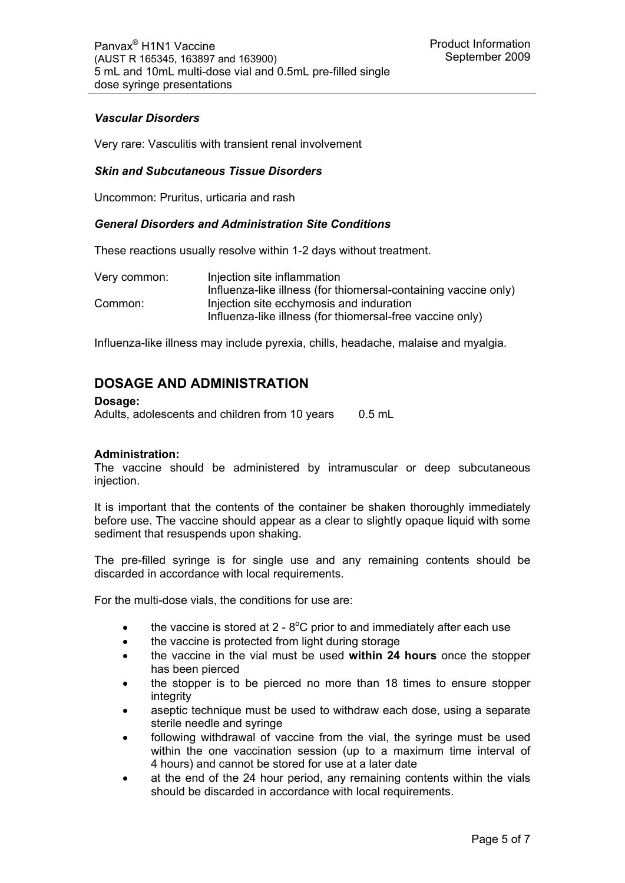## *Vascular Disorders*

Very rare: Vasculitis with transient renal involvement

### *Skin and Subcutaneous Tissue Disorders*

Uncommon: Pruritus, urticaria and rash

### *General Disorders and Administration Site Conditions*

These reactions usually resolve within 1-2 days without treatment.

| Very common: | Injection site inflammation                                     |
|--------------|-----------------------------------------------------------------|
|              | Influenza-like illness (for thiomersal-containing vaccine only) |
| Common:      | Injection site ecchymosis and induration                        |
|              | Influenza-like illness (for thiomersal-free vaccine only)       |

Influenza-like illness may include pyrexia, chills, headache, malaise and myalgia.

## **DOSAGE AND ADMINISTRATION**

**Dosage:**  Adults, adolescents and children from 10 years 0.5 mL

## **Administration:**

The vaccine should be administered by intramuscular or deep subcutaneous injection.

It is important that the contents of the container be shaken thoroughly immediately before use. The vaccine should appear as a clear to slightly opaque liquid with some sediment that resuspends upon shaking.

The pre-filled syringe is for single use and any remaining contents should be discarded in accordance with local requirements.

For the multi-dose vials, the conditions for use are:

- $\bullet$  the vaccine is stored at 2 8°C prior to and immediately after each use
- the vaccine is protected from light during storage
- the vaccine in the vial must be used **within 24 hours** once the stopper has been pierced
- the stopper is to be pierced no more than 18 times to ensure stopper integrity
- aseptic technique must be used to withdraw each dose, using a separate sterile needle and syringe
- following withdrawal of vaccine from the vial, the syringe must be used within the one vaccination session (up to a maximum time interval of 4 hours) and cannot be stored for use at a later date
- at the end of the 24 hour period, any remaining contents within the vials should be discarded in accordance with local requirements.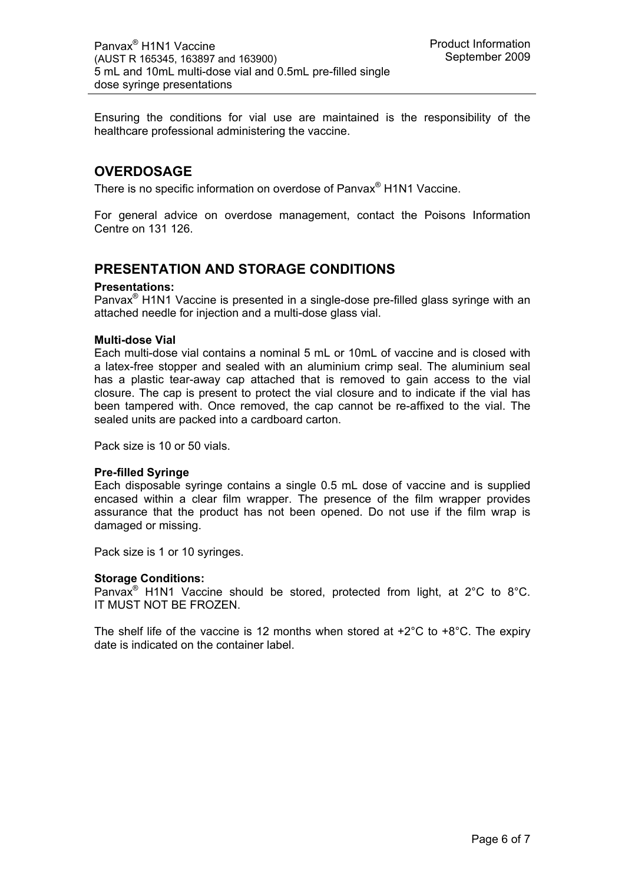Ensuring the conditions for vial use are maintained is the responsibility of the healthcare professional administering the vaccine.

## **OVERDOSAGE**

There is no specific information on overdose of Panvax® H1N1 Vaccine.

For general advice on overdose management, contact the Poisons Information Centre on 131 126.

## **PRESENTATION AND STORAGE CONDITIONS**

### **Presentations:**

Panvax® H1N1 Vaccine is presented in a single-dose pre-filled glass syringe with an attached needle for injection and a multi-dose glass vial.

### **Multi-dose Vial**

Each multi-dose vial contains a nominal 5 mL or 10mL of vaccine and is closed with a latex-free stopper and sealed with an aluminium crimp seal. The aluminium seal has a plastic tear-away cap attached that is removed to gain access to the vial closure. The cap is present to protect the vial closure and to indicate if the vial has been tampered with. Once removed, the cap cannot be re-affixed to the vial. The sealed units are packed into a cardboard carton.

Pack size is 10 or 50 vials.

### **Pre-filled Syringe**

Each disposable syringe contains a single 0.5 mL dose of vaccine and is supplied encased within a clear film wrapper. The presence of the film wrapper provides assurance that the product has not been opened. Do not use if the film wrap is damaged or missing.

Pack size is 1 or 10 syringes.

### **Storage Conditions:**

Panvax® H1N1 Vaccine should be stored, protected from light, at 2°C to 8°C. IT MUST NOT BE FROZEN.

The shelf life of the vaccine is 12 months when stored at  $+2^{\circ}$ C to  $+8^{\circ}$ C. The expiry date is indicated on the container label.